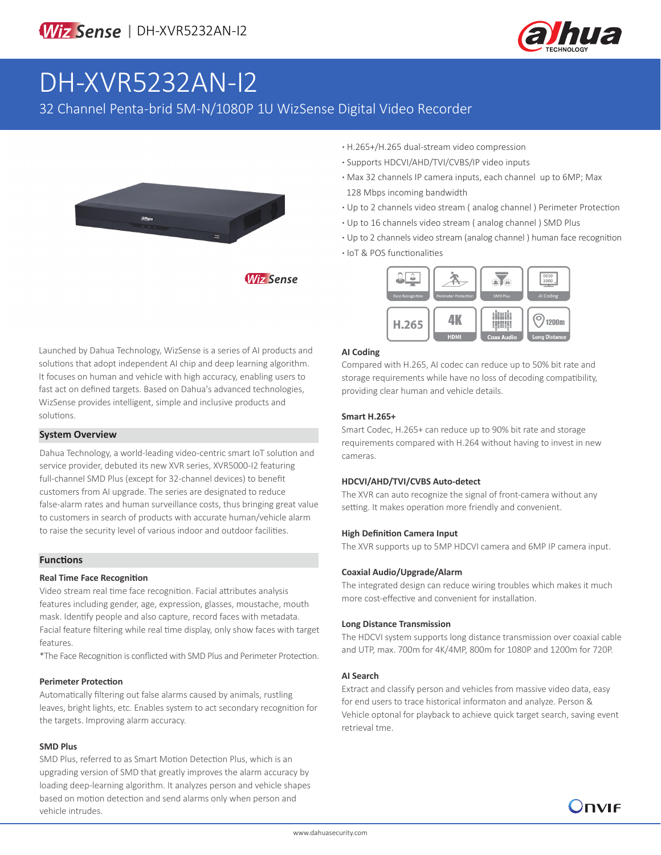

# DH-XVR5232AN-I2

32 Channel Penta-brid 5M-N/1080P 1U WizSense Digital Video Recorder



**·** H.265+/H.265 dual-stream video compression

- **·** Supports HDCVI/AHD/TVI/CVBS/IP video inputs
- **·** Max 32 channels IP camera inputs, each channel up to 6MP; Max 128 Mbps incoming bandwidth
- **·** Up to 2 channels video stream ( analog channel ) Perimeter Protection
- **·** Up to 16 channels video stream ( analog channel ) SMD Plus
- **·** Up to 2 channels video stream (analog channel ) human face recognition
- **·** IoT & POS functionalities



#### **AI Coding**

Compared with H.265, AI codec can reduce up to 50% bit rate and storage requirements while have no loss of decoding compatibility, providing clear human and vehicle details.

#### **Smart H.265+**

Smart Codec, H.265+ can reduce up to 90% bit rate and storage requirements compared with H.264 without having to invest in new cameras.

### **HDCVI/AHD/TVI/CVBS Auto-detect**

The XVR can auto recognize the signal of front-camera without any setting. It makes operation more friendly and convenient.

### **High Definition Camera Input**

The XVR supports up to 5MP HDCVI camera and 6MP IP camera input.

### **Coaxial Audio/Upgrade/Alarm**

The integrated design can reduce wiring troubles which makes it much more cost-effective and convenient for installation.

### **Long Distance Transmission**

The HDCVI system supports long distance transmission over coaxial cable and UTP, max. 700m for 4K/4MP, 800m for 1080P and 1200m for 720P.

## **AI Search**

Extract and classify person and vehicles from massive video data, easy for end users to trace historical informaton and analyze. Person & Vehicle optonal for playback to achieve quick target search, saving event retrieval tme.



# **System Overview**

Dahua Technology, a world-leading video-centric smart IoT solution and service provider, debuted its new XVR series, XVR5000-I2 featuring full-channel SMD Plus (except for 32-channel devices) to benefit customers from AI upgrade. The series are designated to reduce false-alarm rates and human surveillance costs, thus bringing great value to customers in search of products with accurate human/vehicle alarm to raise the security level of various indoor and outdoor facilities.

# **Functions**

# **Real Time Face Recognition**

Video stream real time face recognition. Facial attributes analysis features including gender, age, expression, glasses, moustache, mouth mask. Identify people and also capture, record faces with metadata. Facial feature filtering while real time display, only show faces with target features.

\*The Face Recognition is conflicted with SMD Plus and Perimeter Protection.

# **Perimeter Protection**

Automatically filtering out false alarms caused by animals, rustling leaves, bright lights, etc. Enables system to act secondary recognition for the targets. Improving alarm accuracy.

# **SMD Plus**

SMD Plus, referred to as Smart Motion Detection Plus, which is an upgrading version of SMD that greatly improves the alarm accuracy by loading deep-learning algorithm. It analyzes person and vehicle shapes based on motion detection and send alarms only when person and vehicle intrudes.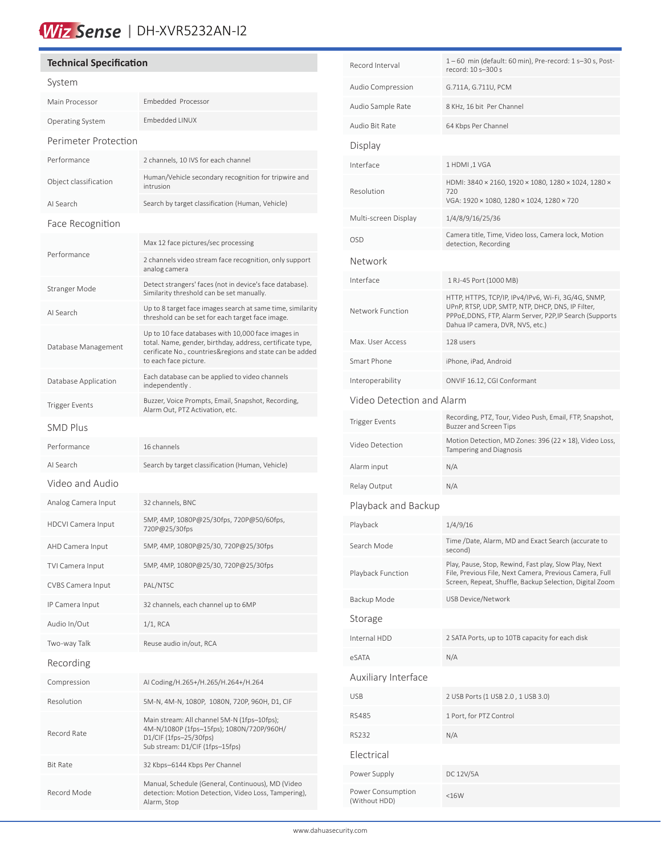# Wiz Sense | DH-XVR5232AN-I2

| <b>Technical Specification</b> |                                                                                                                                                                                                      |  |  |  |  |  |  |
|--------------------------------|------------------------------------------------------------------------------------------------------------------------------------------------------------------------------------------------------|--|--|--|--|--|--|
| System                         |                                                                                                                                                                                                      |  |  |  |  |  |  |
| Main Processor                 | Embedded Processor                                                                                                                                                                                   |  |  |  |  |  |  |
| Operating System               | <b>Embedded LINUX</b>                                                                                                                                                                                |  |  |  |  |  |  |
| Perimeter Protection           |                                                                                                                                                                                                      |  |  |  |  |  |  |
| Performance                    | 2 channels, 10 IVS for each channel                                                                                                                                                                  |  |  |  |  |  |  |
| Object classification          | Human/Vehicle secondary recognition for tripwire and<br>intrusion                                                                                                                                    |  |  |  |  |  |  |
| AI Search                      | Search by target classification (Human, Vehicle)                                                                                                                                                     |  |  |  |  |  |  |
| Face Recognition               |                                                                                                                                                                                                      |  |  |  |  |  |  |
|                                | Max 12 face pictures/sec processing                                                                                                                                                                  |  |  |  |  |  |  |
| Performance                    | 2 channels video stream face recognition, only support<br>analog camera                                                                                                                              |  |  |  |  |  |  |
| Stranger Mode                  | Detect strangers' faces (not in device's face database).<br>Similarity threshold can be set manually.                                                                                                |  |  |  |  |  |  |
| AI Search                      | Up to 8 target face images search at same time, similarity<br>threshold can be set for each target face image.                                                                                       |  |  |  |  |  |  |
| Database Management            | Up to 10 face databases with 10,000 face images in<br>total. Name, gender, birthday, address, certificate type,<br>cerificate No., countries&regions and state can be added<br>to each face picture. |  |  |  |  |  |  |
| Database Application           | Each database can be applied to video channels<br>independently.                                                                                                                                     |  |  |  |  |  |  |
| <b>Trigger Events</b>          | Buzzer, Voice Prompts, Email, Snapshot, Recording,<br>Alarm Out, PTZ Activation, etc.                                                                                                                |  |  |  |  |  |  |
| <b>SMD Plus</b>                |                                                                                                                                                                                                      |  |  |  |  |  |  |
| Performance                    | 16 channels                                                                                                                                                                                          |  |  |  |  |  |  |
| AI Search                      | Search by target classification (Human, Vehicle)                                                                                                                                                     |  |  |  |  |  |  |
| Video and Audio                |                                                                                                                                                                                                      |  |  |  |  |  |  |
| Analog Camera Input            | 32 channels, BNC                                                                                                                                                                                     |  |  |  |  |  |  |
| <b>HDCVI Camera Input</b>      | 5MP, 4MP, 1080P@25/30fps, 720P@50/60fps,<br>720P@25/30fps                                                                                                                                            |  |  |  |  |  |  |
| AHD Camera Input               | 5MP, 4MP, 1080P@25/30, 720P@25/30fps                                                                                                                                                                 |  |  |  |  |  |  |
| TVI Camera Input               | 5MP, 4MP, 1080P@25/30, 720P@25/30fps                                                                                                                                                                 |  |  |  |  |  |  |
| CVBS Camera Input              | PAL/NTSC                                                                                                                                                                                             |  |  |  |  |  |  |
| IP Camera Input                | 32 channels, each channel up to 6MP                                                                                                                                                                  |  |  |  |  |  |  |
| Audio In/Out                   | 1/1, RCA                                                                                                                                                                                             |  |  |  |  |  |  |
| Two-way Talk                   | Reuse audio in/out, RCA                                                                                                                                                                              |  |  |  |  |  |  |
| Recording                      |                                                                                                                                                                                                      |  |  |  |  |  |  |
| Compression                    | AI Coding/H.265+/H.265/H.264+/H.264                                                                                                                                                                  |  |  |  |  |  |  |
| Resolution                     | 5M-N, 4M-N, 1080P, 1080N, 720P, 960H, D1, CIF                                                                                                                                                        |  |  |  |  |  |  |
| Record Rate                    | Main stream: All channel 5M-N (1fps-10fps);<br>4M-N/1080P (1fps-15fps); 1080N/720P/960H/<br>$D1/CIF$ (1fps-25/30fps)<br>Sub stream: D1/CIF (1fps-15fps)                                              |  |  |  |  |  |  |
| Bit Rate                       | 32 Kbps-6144 Kbps Per Channel                                                                                                                                                                        |  |  |  |  |  |  |
| Record Mode                    | Manual, Schedule (General, Continuous), MD (Video<br>detection: Motion Detection, Video Loss, Tampering),<br>Alarm, Stop                                                                             |  |  |  |  |  |  |

| Record Interval                    | 1-60 min (default: 60 min), Pre-record: 1 s-30 s, Post-<br>record: 10 s-300 s                                                                                                                            |  |  |  |  |  |  |
|------------------------------------|----------------------------------------------------------------------------------------------------------------------------------------------------------------------------------------------------------|--|--|--|--|--|--|
| Audio Compression                  | G.711A, G.711U, PCM                                                                                                                                                                                      |  |  |  |  |  |  |
| Audio Sample Rate                  | 8 KHz, 16 bit Per Channel                                                                                                                                                                                |  |  |  |  |  |  |
| Audio Bit Rate                     | 64 Kbps Per Channel                                                                                                                                                                                      |  |  |  |  |  |  |
| Display                            |                                                                                                                                                                                                          |  |  |  |  |  |  |
| Interface                          | 1 HDMI ,1 VGA                                                                                                                                                                                            |  |  |  |  |  |  |
| Resolution                         | HDMI: 3840 × 2160, 1920 × 1080, 1280 × 1024, 1280 ×<br>720<br>VGA: 1920 × 1080, 1280 × 1024, 1280 × 720                                                                                                  |  |  |  |  |  |  |
| Multi-screen Display               | 1/4/8/9/16/25/36                                                                                                                                                                                         |  |  |  |  |  |  |
| OSD                                | Camera title, Time, Video loss, Camera lock, Motion<br>detection, Recording                                                                                                                              |  |  |  |  |  |  |
| Network                            |                                                                                                                                                                                                          |  |  |  |  |  |  |
| Interface                          | 1 RJ-45 Port (1000 MB)                                                                                                                                                                                   |  |  |  |  |  |  |
| Network Function                   | HTTP, HTTPS, TCP/IP, IPv4/IPv6, Wi-Fi, 3G/4G, SNMP,<br>UPnP, RTSP, UDP, SMTP, NTP, DHCP, DNS, IP Filter,<br>PPPoE, DDNS, FTP, Alarm Server, P2P, IP Search (Supports<br>Dahua IP camera, DVR, NVS, etc.) |  |  |  |  |  |  |
| Max. User Access                   | 128 users                                                                                                                                                                                                |  |  |  |  |  |  |
| Smart Phone                        | iPhone, iPad, Android                                                                                                                                                                                    |  |  |  |  |  |  |
| Interoperability                   | ONVIF 16.12, CGI Conformant                                                                                                                                                                              |  |  |  |  |  |  |
| Video Detection and Alarm          |                                                                                                                                                                                                          |  |  |  |  |  |  |
| Trigger Events                     | Recording, PTZ, Tour, Video Push, Email, FTP, Snapshot,<br><b>Buzzer and Screen Tips</b>                                                                                                                 |  |  |  |  |  |  |
| Video Detection                    | Motion Detection, MD Zones: 396 (22 × 18), Video Loss,<br>Tampering and Diagnosis                                                                                                                        |  |  |  |  |  |  |
| Alarm input                        | N/A                                                                                                                                                                                                      |  |  |  |  |  |  |
| Relay Output                       | N/A                                                                                                                                                                                                      |  |  |  |  |  |  |
| Playback and Backup                |                                                                                                                                                                                                          |  |  |  |  |  |  |
| Playback                           | 1/4/9/16                                                                                                                                                                                                 |  |  |  |  |  |  |
| Search Mode                        | Time /Date, Alarm, MD and Exact Search (accurate to<br>second)                                                                                                                                           |  |  |  |  |  |  |
| Playback Function                  | Play, Pause, Stop, Rewind, Fast play, Slow Play, Next<br>File, Previous File, Next Camera, Previous Camera, Full<br>Screen, Repeat, Shuffle, Backup Selection, Digital Zoom                              |  |  |  |  |  |  |
| Backup Mode                        | USB Device/Network                                                                                                                                                                                       |  |  |  |  |  |  |
| Storage                            |                                                                                                                                                                                                          |  |  |  |  |  |  |
| Internal HDD                       | 2 SATA Ports, up to 10TB capacity for each disk                                                                                                                                                          |  |  |  |  |  |  |
| eSATA                              | N/A                                                                                                                                                                                                      |  |  |  |  |  |  |
| Auxiliary Interface                |                                                                                                                                                                                                          |  |  |  |  |  |  |
| USB                                | 2 USB Ports (1 USB 2.0, 1 USB 3.0)                                                                                                                                                                       |  |  |  |  |  |  |
| RS485                              | 1 Port, for PTZ Control                                                                                                                                                                                  |  |  |  |  |  |  |
| RS232                              | N/A                                                                                                                                                                                                      |  |  |  |  |  |  |
| Electrical                         |                                                                                                                                                                                                          |  |  |  |  |  |  |
| Power Supply                       | DC 12V/5A                                                                                                                                                                                                |  |  |  |  |  |  |
| Power Consumption<br>(Without HDD) | <16W                                                                                                                                                                                                     |  |  |  |  |  |  |